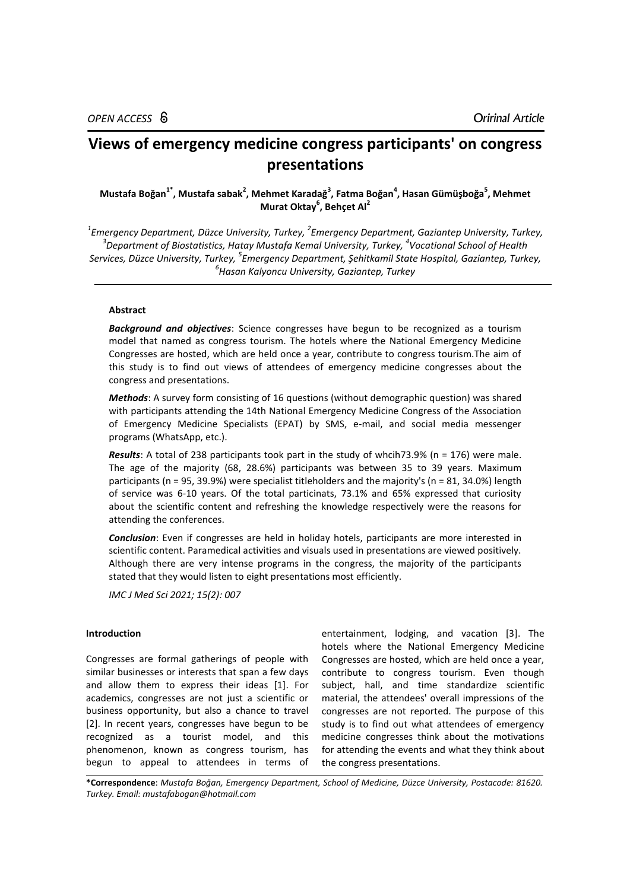# **Views of emergency medicine congress participants' on congress presentations**

## **Mustafa Boğan1\* , Mustafa sabak<sup>2</sup> , Mehmet Karadağ<sup>3</sup> , Fatma Boğan<sup>4</sup> , Hasan Gümüşboğa<sup>5</sup> , Mehmet Murat Oktay<sup>6</sup> , Behçet Al<sup>2</sup>**

 *Emergency Department, Düzce University, Turkey, <sup>2</sup> Emergency Department, Gaziantep University, Turkey, Department of Biostatistics, Hatay Mustafa Kemal University, Turkey, <sup>4</sup> Vocational School of Health Services, Düzce University, Turkey, <sup>5</sup> Emergency Department, Şehitkamil State Hospital, Gaziantep, Turkey, Hasan Kalyoncu University, Gaziantep, Turkey*

## **Abstract**

*Background and objectives*: Science congresses have begun to be recognized as a tourism model that named as congress tourism. The hotels where the National Emergency Medicine Congresses are hosted, which are held once a year, contribute to congress tourism.The aim of this study is to find out views of attendees of emergency medicine congresses about the congress and presentations.

*Methods*: A survey form consisting of 16 questions (without demographic question) was shared with participants attending the 14th National Emergency Medicine Congress of the Association of Emergency Medicine Specialists (EPAT) by SMS, e-mail, and social media messenger programs (WhatsApp, etc.).

*Results*: A total of 238 participants took part in the study of whcih73.9% (n = 176) were male. The age of the majority (68, 28.6%) participants was between 35 to 39 years. Maximum participants (n = 95, 39.9%) were specialist titleholders and the majority's (n = 81, 34.0%) length of service was 6-10 years. Of the total particinats, 73.1% and 65% expressed that curiosity about the scientific content and refreshing the knowledge respectively were the reasons for attending the conferences.

*Conclusion*: Even if congresses are held in holiday hotels, participants are more interested in scientific content. Paramedical activities and visuals used in presentations are viewed positively. Although there are very intense programs in the congress, the majority of the participants stated that they would listen to eight presentations most efficiently.

*IMC J Med Sci 2021; 15(2): 007*

#### **Introduction**

Congresses are formal gatherings of people with similar businesses or interests that span a few days and allow them to express their ideas [1]. For academics, congresses are not just a scientific or business opportunity, but also a chance to travel [2]. In recent years, congresses have begun to be recognized as a tourist model, and this phenomenon, known as congress tourism, has begun to appeal to attendees in terms of

entertainment, lodging, and vacation [3]. The hotels where the National Emergency Medicine Congresses are hosted, which are held once a year, contribute to congress tourism. Even though subject, hall, and time standardize scientific material, the attendees' overall impressions of the congresses are not reported. The purpose of this study is to find out what attendees of emergency medicine congresses think about the motivations for attending the events and what they think about the congress presentations.

**\*Correspondence**: *Mustafa Boğan, Emergency Department, School of Medicine, Düzce University, Postacode: 81620. Turkey. Email: mustafabogan@hotmail.com*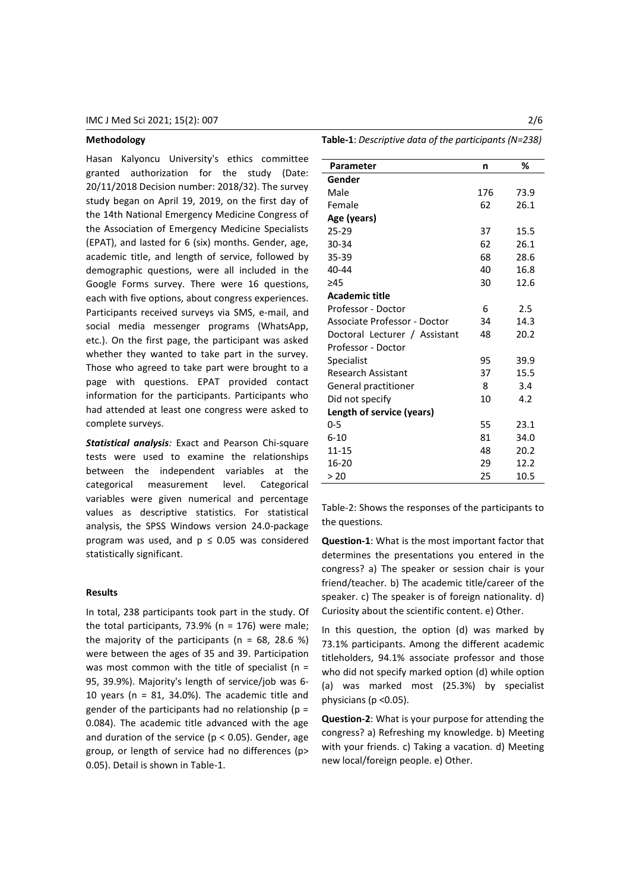## **Methodology**

Hasan Kalyoncu University's ethics committee granted authorization for the study (Date: 20/11/2018 Decision number: 2018/32). The survey study began on April 19, 2019, on the first day of the 14th National Emergency Medicine Congress of the Association of Emergency Medicine Specialists (EPAT), and lasted for 6 (six) months. Gender, age, academic title, and length of service, followed by demographic questions, were all included in the Google Forms survey. There were 16 questions, each with five options, about congress experiences. Participants received surveys via SMS, e-mail, and social media messenger programs (WhatsApp, etc.). On the first page, the participant was asked whether they wanted to take part in the survey. Those who agreed to take part were brought to a page with questions. EPAT provided contact information for the participants. Participants who had attended at least one congress were asked to complete surveys.

*Statistical analysis:* Exact and Pearson Chi-square tests were used to examine the relationships between the independent variables at the categorical measurement level. Categorical variables were given numerical and percentage values as descriptive statistics. For statistical analysis, the SPSS Windows version 24.0-package program was used, and  $p \le 0.05$  was considered statistically significant.

#### **Results**

In total, 238 participants took part in the study. Of the total participants, 73.9% ( $n = 176$ ) were male; the majority of the participants ( $n = 68$ , 28.6 %) were between the ages of 35 and 39. Participation was most common with the title of specialist ( $n =$ 95, 39.9%). Majority's length of service/job was 6- 10 years ( $n = 81, 34.0\%$ ). The academic title and gender of the participants had no relationship ( $p =$ 0.084). The academic title advanced with the age and duration of the service ( $p < 0.05$ ). Gender, age group, or length of service had no differences (p> 0.05). Detail is shown in Table-1.

**Table-1**: *Descriptive data of the participants (N=238)*

| Parameter                     | n   | %    |  |  |  |  |  |
|-------------------------------|-----|------|--|--|--|--|--|
| Gender                        |     |      |  |  |  |  |  |
| Male                          | 176 | 73.9 |  |  |  |  |  |
| Female                        | 62  | 26.1 |  |  |  |  |  |
| Age (years)                   |     |      |  |  |  |  |  |
| $25 - 29$                     | 37  | 15.5 |  |  |  |  |  |
| 30-34                         | 62  | 26.1 |  |  |  |  |  |
| 35-39                         | 68  | 28.6 |  |  |  |  |  |
| 40-44                         | 40  | 16.8 |  |  |  |  |  |
| >45                           | 30  | 12.6 |  |  |  |  |  |
| <b>Academic title</b>         |     |      |  |  |  |  |  |
| Professor - Doctor            | 6   | 2.5  |  |  |  |  |  |
| Associate Professor - Doctor  | 34  | 14.3 |  |  |  |  |  |
| Doctoral Lecturer / Assistant | 48  | 20.2 |  |  |  |  |  |
| Professor - Doctor            |     |      |  |  |  |  |  |
| Specialist                    | 95  | 39.9 |  |  |  |  |  |
| <b>Research Assistant</b>     | 37  | 15.5 |  |  |  |  |  |
| General practitioner          | 8   | 3.4  |  |  |  |  |  |
| Did not specify               | 10  | 4.2  |  |  |  |  |  |
| Length of service (years)     |     |      |  |  |  |  |  |
| $0 - 5$                       | 55  | 23.1 |  |  |  |  |  |
| $6 - 10$                      | 81  | 34.0 |  |  |  |  |  |
| 11-15                         | 48  | 20.2 |  |  |  |  |  |
| 16-20                         | 29  | 12.2 |  |  |  |  |  |
| > 20                          | 25  | 10.5 |  |  |  |  |  |

Table-2: Shows the responses of the participants to the questions.

**Question-1**: What is the most important factor that determines the presentations you entered in the congress? a) The speaker or session chair is your friend/teacher. b) The academic title/career of the speaker. c) The speaker is of foreign nationality. d) Curiosity about the scientific content. e) Other.

In this question, the option (d) was marked by 73.1% participants. Among the different academic titleholders, 94.1% associate professor and those who did not specify marked option (d) while option (a) was marked most (25.3%) by specialist physicians (p <0.05).

**Question-2**: What is your purpose for attending the congress? a) Refreshing my knowledge. b) Meeting with your friends. c) Taking a vacation. d) Meeting new local/foreign people. e) Other.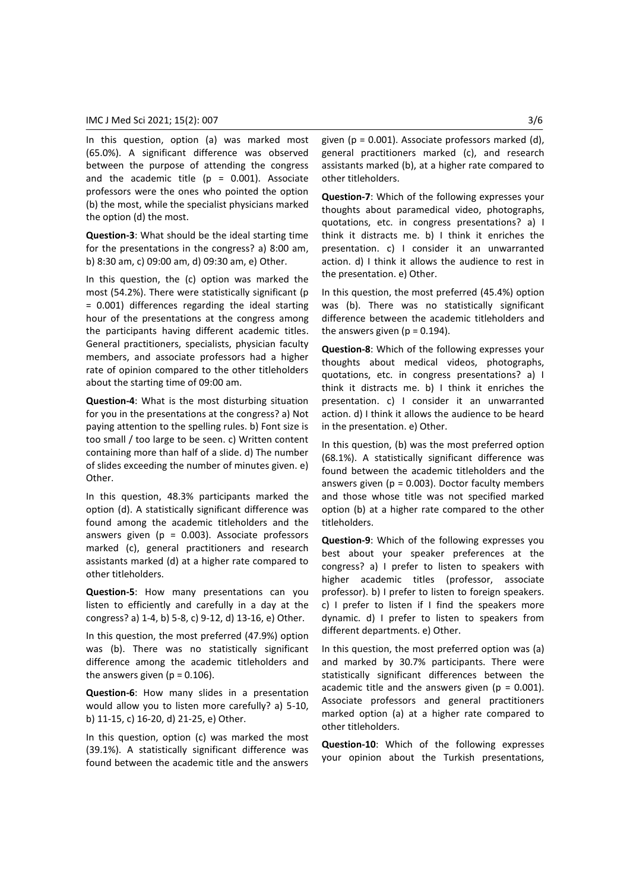In this question, option (a) was marked most (65.0%). A significant difference was observed between the purpose of attending the congress and the academic title ( $p = 0.001$ ). Associate professors were the ones who pointed the option (b) the most, while the specialist physicians marked the option (d) the most.

**Question-3**: What should be the ideal starting time for the presentations in the congress? a) 8:00 am, b) 8:30 am, c) 09:00 am, d) 09:30 am, e) Other.

In this question, the (c) option was marked the most (54.2%). There were statistically significant (p = 0.001) differences regarding the ideal starting hour of the presentations at the congress among the participants having different academic titles. General practitioners, specialists, physician faculty members, and associate professors had a higher rate of opinion compared to the other titleholders about the starting time of 09:00 am.

**Question-4**: What is the most disturbing situation for you in the presentations at the congress? a) Not paying attention to the spelling rules. b) Font size is too small / too large to be seen. c) Written content containing more than half of a slide. d) The number of slides exceeding the number of minutes given. e) Other.

In this question, 48.3% participants marked the option (d). A statistically significant difference was found among the academic titleholders and the answers given ( $p = 0.003$ ). Associate professors marked (c), general practitioners and research assistants marked (d) at a higher rate compared to other titleholders.

**Question-5**: How many presentations can you listen to efficiently and carefully in a day at the congress? a) 1-4, b) 5-8, c) 9-12, d) 13-16, e) Other.

In this question, the most preferred (47.9%) option was (b). There was no statistically significant difference among the academic titleholders and the answers given ( $p = 0.106$ ).

**Question-6**: How many slides in a presentation would allow you to listen more carefully? a) 5-10, b) 11-15, c) 16-20, d) 21-25, e) Other.

In this question, option (c) was marked the most (39.1%). A statistically significant difference was found between the academic title and the answers

given ( $p = 0.001$ ). Associate professors marked (d), general practitioners marked (c), and research assistants marked (b), at a higher rate compared to other titleholders.

**Question-7**: Which of the following expresses your thoughts about paramedical video, photographs, quotations, etc. in congress presentations? a) I think it distracts me. b) I think it enriches the presentation. c) I consider it an unwarranted action. d) I think it allows the audience to rest in the presentation. e) Other.

In this question, the most preferred (45.4%) option was (b). There was no statistically significant difference between the academic titleholders and the answers given ( $p = 0.194$ ).

**Question-8**: Which of the following expresses your thoughts about medical videos, photographs, quotations, etc. in congress presentations? a) I think it distracts me. b) I think it enriches the presentation. c) I consider it an unwarranted action. d) I think it allows the audience to be heard in the presentation. e) Other.

In this question, (b) was the most preferred option (68.1%). A statistically significant difference was found between the academic titleholders and the answers given ( $p = 0.003$ ). Doctor faculty members and those whose title was not specified marked option (b) at a higher rate compared to the other titleholders.

**Question-9**: Which of the following expresses you best about your speaker preferences at the congress? a) I prefer to listen to speakers with higher academic titles (professor, associate professor). b) I prefer to listen to foreign speakers. c) I prefer to listen if I find the speakers more dynamic. d) I prefer to listen to speakers from different departments. e) Other.

In this question, the most preferred option was (a) and marked by 30.7% participants. There were statistically significant differences between the academic title and the answers given ( $p = 0.001$ ). Associate professors and general practitioners marked option (a) at a higher rate compared to other titleholders.

**Question-10**: Which of the following expresses your opinion about the Turkish presentations,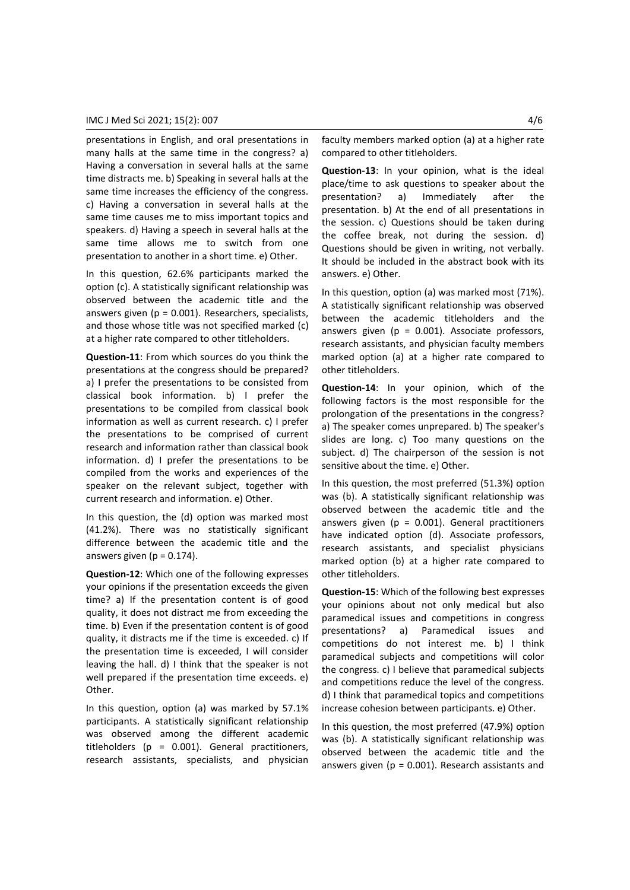presentations in English, and oral presentations in many halls at the same time in the congress? a) Having a conversation in several halls at the same time distracts me. b) Speaking in several halls at the same time increases the efficiency of the congress. c) Having a conversation in several halls at the same time causes me to miss important topics and speakers. d) Having a speech in several halls at the same time allows me to switch from one presentation to another in a short time. e) Other.

In this question, 62.6% participants marked the option (c). A statistically significant relationship was observed between the academic title and the answers given ( $p = 0.001$ ). Researchers, specialists, and those whose title was not specified marked (c) at a higher rate compared to other titleholders.

**Question-11**: From which sources do you think the presentations at the congress should be prepared? a) I prefer the presentations to be consisted from classical book information. b) I prefer the presentations to be compiled from classical book information as well as current research. c) I prefer the presentations to be comprised of current research and information rather than classical book information. d) I prefer the presentations to be compiled from the works and experiences of the speaker on the relevant subject, together with current research and information. e) Other.

In this question, the (d) option was marked most (41.2%). There was no statistically significant difference between the academic title and the answers given ( $p = 0.174$ ).

**Question-12**: Which one of the following expresses your opinions if the presentation exceeds the given time? a) If the presentation content is of good quality, it does not distract me from exceeding the time. b) Even if the presentation content is of good quality, it distracts me if the time is exceeded. c) If the presentation time is exceeded, I will consider leaving the hall. d) I think that the speaker is not well prepared if the presentation time exceeds. e) Other.

In this question, option (a) was marked by 57.1% participants. A statistically significant relationship was observed among the different academic titleholders ( $p = 0.001$ ). General practitioners, research assistants, specialists, and physician

faculty members marked option (a) at a higher rate compared to other titleholders.

**Question-13**: In your opinion, what is the ideal place/time to ask questions to speaker about the presentation? a) Immediately after the presentation. b) At the end of all presentations in the session. c) Questions should be taken during the coffee break, not during the session. d) Questions should be given in writing, not verbally. It should be included in the abstract book with its answers. e) Other.

In this question, option (a) was marked most (71%). A statistically significant relationship was observed between the academic titleholders and the answers given ( $p = 0.001$ ). Associate professors, research assistants, and physician faculty members marked option (a) at a higher rate compared to other titleholders.

**Question-14**: In your opinion, which of the following factors is the most responsible for the prolongation of the presentations in the congress? a) The speaker comes unprepared. b) The speaker's slides are long. c) Too many questions on the subject. d) The chairperson of the session is not sensitive about the time. e) Other.

In this question, the most preferred (51.3%) option was (b). A statistically significant relationship was observed between the academic title and the answers given ( $p = 0.001$ ). General practitioners have indicated option (d). Associate professors, research assistants, and specialist physicians marked option (b) at a higher rate compared to other titleholders.

**Question-15**: Which of the following best expresses your opinions about not only medical but also paramedical issues and competitions in congress presentations? a) Paramedical issues and competitions do not interest me. b) I think paramedical subjects and competitions will color the congress. c) I believe that paramedical subjects and competitions reduce the level of the congress. d) I think that paramedical topics and competitions increase cohesion between participants. e) Other.

In this question, the most preferred (47.9%) option was (b). A statistically significant relationship was observed between the academic title and the answers given ( $p = 0.001$ ). Research assistants and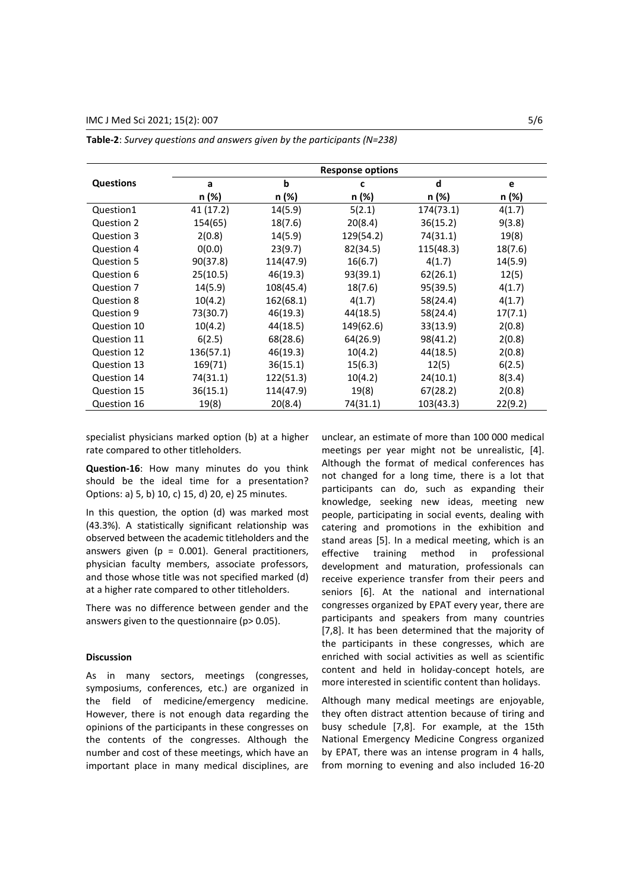|                  | <b>Response options</b> |           |           |           |         |  |
|------------------|-------------------------|-----------|-----------|-----------|---------|--|
| <b>Questions</b> | a                       | b         | c         | d         | e       |  |
|                  | n (%)                   | n (%)     | n (%)     | n (%)     | n (%)   |  |
| Question1        | 41 (17.2)               | 14(5.9)   | 5(2.1)    | 174(73.1) | 4(1.7)  |  |
| Question 2       | 154(65)                 | 18(7.6)   | 20(8.4)   | 36(15.2)  | 9(3.8)  |  |
| Question 3       | 2(0.8)                  | 14(5.9)   | 129(54.2) | 74(31.1)  | 19(8)   |  |
| Question 4       | 0(0.0)                  | 23(9.7)   | 82(34.5)  | 115(48.3) | 18(7.6) |  |
| Question 5       | 90(37.8)                | 114(47.9) | 16(6.7)   | 4(1.7)    | 14(5.9) |  |
| Question 6       | 25(10.5)                | 46(19.3)  | 93(39.1)  | 62(26.1)  | 12(5)   |  |
| Question 7       | 14(5.9)                 | 108(45.4) | 18(7.6)   | 95(39.5)  | 4(1.7)  |  |
| Question 8       | 10(4.2)                 | 162(68.1) | 4(1.7)    | 58(24.4)  | 4(1.7)  |  |
| Question 9       | 73(30.7)                | 46(19.3)  | 44(18.5)  | 58(24.4)  | 17(7.1) |  |
| Question 10      | 10(4.2)                 | 44(18.5)  | 149(62.6) | 33(13.9)  | 2(0.8)  |  |
| Question 11      | 6(2.5)                  | 68(28.6)  | 64(26.9)  | 98(41.2)  | 2(0.8)  |  |
| Question 12      | 136(57.1)               | 46(19.3)  | 10(4.2)   | 44(18.5)  | 2(0.8)  |  |
| Question 13      | 169(71)                 | 36(15.1)  | 15(6.3)   | 12(5)     | 6(2.5)  |  |
| Question 14      | 74(31.1)                | 122(51.3) | 10(4.2)   | 24(10.1)  | 8(3.4)  |  |
| Question 15      | 36(15.1)                | 114(47.9) | 19(8)     | 67(28.2)  | 2(0.8)  |  |
| Question 16      | 19(8)                   | 20(8.4)   | 74(31.1)  | 103(43.3) | 22(9.2) |  |

**Table-2**: *Survey questions and answers given by the participants (N=238)*

specialist physicians marked option (b) at a higher rate compared to other titleholders.

**Question-16**: How many minutes do you think should be the ideal time for a presentation? Options: a) 5, b) 10, c) 15, d) 20, e) 25 minutes.

In this question, the option (d) was marked most (43.3%). A statistically significant relationship was observed between the academic titleholders and the answers given ( $p = 0.001$ ). General practitioners, physician faculty members, associate professors, and those whose title was not specified marked (d) at a higher rate compared to other titleholders.

There was no difference between gender and the answers given to the questionnaire (p> 0.05).

#### **Discussion**

As in many sectors, meetings (congresses, symposiums, conferences, etc.) are organized in the field of medicine/emergency medicine. However, there is not enough data regarding the opinions of the participants in these congresses on the contents of the congresses. Although the number and cost of these meetings, which have an important place in many medical disciplines, are

unclear, an estimate of more than 100 000 medical meetings per year might not be unrealistic, [4]. Although the format of medical conferences has not changed for a long time, there is a lot that participants can do, such as expanding their knowledge, seeking new ideas, meeting new people, participating in social events, dealing with catering and promotions in the exhibition and stand areas [5]. In a medical meeting, which is an effective training method in professional development and maturation, professionals can receive experience transfer from their peers and seniors [6]. At the national and international congresses organized by EPAT every year, there are participants and speakers from many countries [7,8]. It has been determined that the majority of the participants in these congresses, which are enriched with social activities as well as scientific content and held in holiday-concept hotels, are more interested in scientific content than holidays.

Although many medical meetings are enjoyable, they often distract attention because of tiring and busy schedule [7,8]. For example, at the 15th National Emergency Medicine Congress organized by EPAT, there was an intense program in 4 halls, from morning to evening and also included 16-20